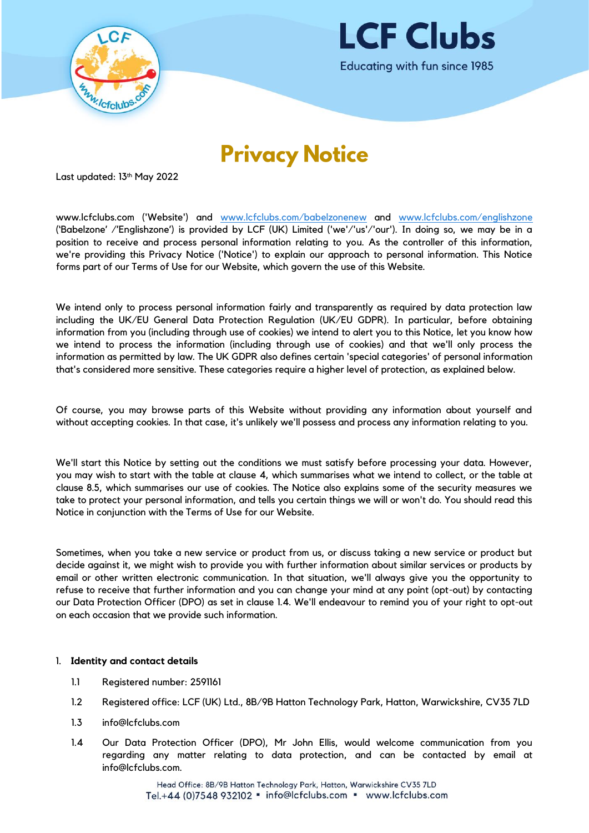



# **Privacy Notice**

Last updated: 13th May 2022

www.lcfclubs.com ('Website') and [www.lcfclubs.com/babelzonenew](http://www.lcfclubs.com/babelzonenew) and [www.lcfclubs.com/englishzone](http://www.lcfclubs.com/englishzone) ('Babelzone' /'Englishzone') is provided by LCF (UK) Limited ('we'/'us'/'our'). In doing so, we may be in a position to receive and process personal information relating to you. As the controller of this information, we're providing this Privacy Notice ('Notice') to explain our approach to personal information. This Notice forms part of our Terms of Use for our Website, which govern the use of this Website.

We intend only to process personal information fairly and transparently as required by data protection law including the UK/EU General Data Protection Regulation (UK/EU GDPR). In particular, before obtaining information from you (including through use of cookies) we intend to alert you to this Notice, let you know how we intend to process the information (including through use of cookies) and that we'll only process the information as permitted by law. The UK GDPR also defines certain 'special categories' of personal information that's considered more sensitive. These categories require a higher level of protection, as explained below.

Of course, you may browse parts of this Website without providing any information about yourself and without accepting cookies. In that case, it's unlikely we'll possess and process any information relating to you.

We'll start this Notice by setting out the conditions we must satisfy before processing your data. However, you may wish to start with the table at clause [4,](#page-2-0) which summarises what we intend to collect, or the table at clause [8.5,](#page-5-0) which summarises our use of cookies. The Notice also explains some of the security measures we take to protect your personal information, and tells you certain things we will or won't do. You should read this Notice in conjunction with the Terms of Use for our Website.

Sometimes, when you take a new service or product from us, or discuss taking a new service or product but decide against it, we might wish to provide you with further information about similar services or products by email or other written electronic communication. In that situation, we'll always give you the opportunity to refuse to receive that further information and you can change your mind at any point (opt-out) by contacting our Data Protection Officer (DPO) as set in clause [1.4.](#page-0-0) We'll endeavour to remind you of your right to opt-out on each occasion that we provide such information.

### 1. **Identity and contact details**

- 1.1 Registered number: 2591161
- 1.2 Registered office: LCF (UK) Ltd., 8B/9B Hatton Technology Park, Hatton, Warwickshire, CV35 7LD
- 1.3 info@lcfclubs.com
- <span id="page-0-0"></span>1.4 Our Data Protection Officer (DPO), Mr John Ellis, would welcome communication from you regarding any matter relating to data protection, and can be contacted by email at info@lcfclubs.com.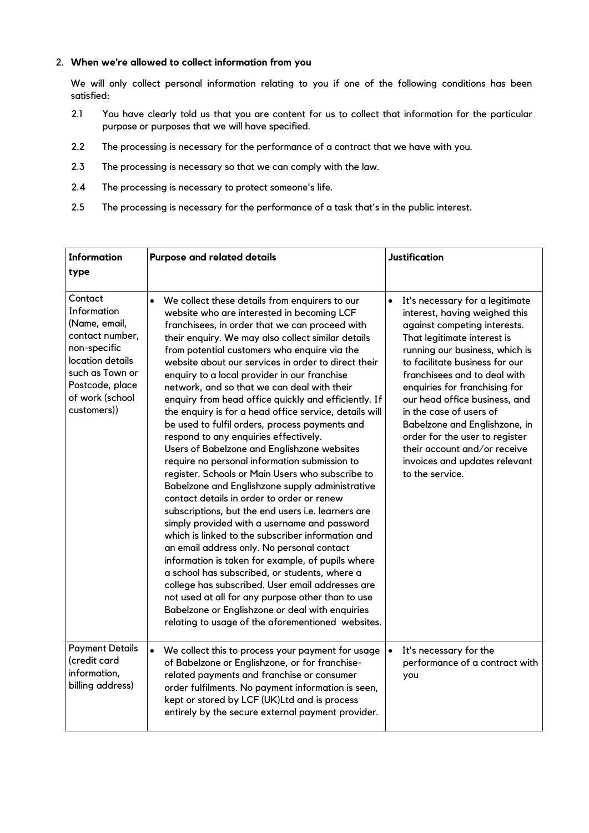### 2. **When we're allowed to collect information from you**

We will only collect personal information relating to you if one of the following conditions has been satisfied:

- 2.1 You have clearly told us that you are content for us to collect that information for the particular purpose or purposes that we will have specified.
- 2.2 The processing is necessary for the performance of a contract that we have with you.
- 2.3 The processing is necessary so that we can comply with the law.
- 2.4 The processing is necessary to protect someone's life.
- 2.5 The processing is necessary for the performance of a task that's in the public interest.

| <b>Information</b><br>type                                                                                                                                             | <b>Purpose and related details</b>                                                                                                                                                                                                                                                                                                                                                                                                                                                                                                                                                                                                                                                                                                                                                                                                                                                                                                                                                                                                                                                                                                                                                                                                                                                                                                                                                                                        | <b>Justification</b>                                                                                                                                                                                                                                                                                                                                                                                                                                                                                 |
|------------------------------------------------------------------------------------------------------------------------------------------------------------------------|---------------------------------------------------------------------------------------------------------------------------------------------------------------------------------------------------------------------------------------------------------------------------------------------------------------------------------------------------------------------------------------------------------------------------------------------------------------------------------------------------------------------------------------------------------------------------------------------------------------------------------------------------------------------------------------------------------------------------------------------------------------------------------------------------------------------------------------------------------------------------------------------------------------------------------------------------------------------------------------------------------------------------------------------------------------------------------------------------------------------------------------------------------------------------------------------------------------------------------------------------------------------------------------------------------------------------------------------------------------------------------------------------------------------------|------------------------------------------------------------------------------------------------------------------------------------------------------------------------------------------------------------------------------------------------------------------------------------------------------------------------------------------------------------------------------------------------------------------------------------------------------------------------------------------------------|
| Contact<br>Information<br>(Name, email,<br>contact number,<br>non-specific<br>location details<br>such as Town or<br>Postcode, place<br>of work (school<br>customers)) | $\bullet$<br>We collect these details from enquirers to our<br>website who are interested in becoming LCF<br>franchisees, in order that we can proceed with<br>their enquiry. We may also collect similar details<br>from potential customers who enquire via the<br>website about our services in order to direct their<br>enquiry to a local provider in our franchise<br>network, and so that we can deal with their<br>enquiry from head office quickly and efficiently. If<br>the enquiry is for a head office service, details will<br>be used to fulfil orders, process payments and<br>respond to any enquiries effectively.<br>Users of Babelzone and Englishzone websites<br>require no personal information submission to<br>register. Schools or Main Users who subscribe to<br>Babelzone and Englishzone supply administrative<br>contact details in order to order or renew<br>subscriptions, but the end users i.e. learners are<br>simply provided with a username and password<br>which is linked to the subscriber information and<br>an email address only. No personal contact<br>information is taken for example, of pupils where<br>a school has subscribed, or students, where a<br>college has subscribed. User email addresses are<br>not used at all for any purpose other than to use<br>Babelzone or Englishzone or deal with enquiries<br>relating to usage of the aforementioned websites. | $\bullet$<br>It's necessary for a legitimate<br>interest, having weighed this<br>against competing interests.<br>That legitimate interest is<br>running our business, which is<br>to facilitate business for our<br>franchisees and to deal with<br>enquiries for franchising for<br>our head office business, and<br>in the case of users of<br>Babelzone and Englishzone, in<br>order for the user to register<br>their account and/or receive<br>invoices and updates relevant<br>to the service. |
| <b>Payment Details</b><br>(credit card<br>information,<br>billing address)                                                                                             | $\bullet$<br>We collect this to process your payment for usage<br>of Babelzone or Englishzone, or for franchise-<br>related payments and franchise or consumer<br>order fulfilments. No payment information is seen,<br>kept or stored by LCF (UK)Ltd and is process<br>entirely by the secure external payment provider.                                                                                                                                                                                                                                                                                                                                                                                                                                                                                                                                                                                                                                                                                                                                                                                                                                                                                                                                                                                                                                                                                                 | $\bullet$<br>It's necessary for the<br>performance of a contract with<br>you                                                                                                                                                                                                                                                                                                                                                                                                                         |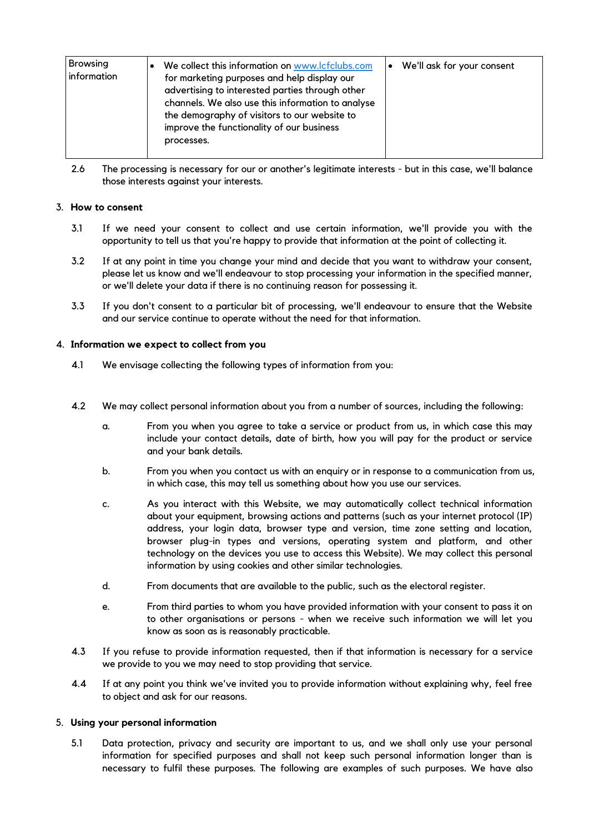| <b>Browsing</b><br>information | We collect this information on www.lcfclubs.com<br>for marketing purposes and help display our<br>advertising to interested parties through other<br>channels. We also use this information to analyse<br>the demography of visitors to our website to<br>improve the functionality of our business<br>processes. | We'll ask for your consent<br>$\bullet$ |
|--------------------------------|-------------------------------------------------------------------------------------------------------------------------------------------------------------------------------------------------------------------------------------------------------------------------------------------------------------------|-----------------------------------------|
|--------------------------------|-------------------------------------------------------------------------------------------------------------------------------------------------------------------------------------------------------------------------------------------------------------------------------------------------------------------|-----------------------------------------|

2.6 The processing is necessary for our or another's legitimate interests - but in this case, we'll balance those interests against your interests.

#### 3. **How to consent**

- 3.1 If we need your consent to collect and use certain information, we'll provide you with the opportunity to tell us that you're happy to provide that information at the point of collecting it.
- 3.2 If at any point in time you change your mind and decide that you want to withdraw your consent, please let us know and we'll endeavour to stop processing your information in the specified manner, or we'll delete your data if there is no continuing reason for possessing it.
- 3.3 If you don't consent to a particular bit of processing, we'll endeavour to ensure that the Website and our service continue to operate without the need for that information.

#### <span id="page-2-0"></span>4. **Information we expect to collect from you**

- 4.1 We envisage collecting the following types of information from you:
- 4.2 We may collect personal information about you from a number of sources, including the following:
	- a. From you when you agree to take a service or product from us, in which case this may include your contact details, date of birth, how you will pay for the product or service and your bank details.
	- b. From you when you contact us with an enquiry or in response to a communication from us, in which case, this may tell us something about how you use our services.
	- c. As you interact with this Website, we may automatically collect technical information about your equipment, browsing actions and patterns (such as your internet protocol (IP) address, your login data, browser type and version, time zone setting and location, browser plug-in types and versions, operating system and platform, and other technology on the devices you use to access this Website). We may collect this personal information by using cookies and other similar technologies.
	- d. From documents that are available to the public, such as the electoral register.
	- e. From third parties to whom you have provided information with your consent to pass it on to other organisations or persons - when we receive such information we will let you know as soon as is reasonably practicable.
- 4.3 If you refuse to provide information requested, then if that information is necessary for a service we provide to you we may need to stop providing that service.
- 4.4 If at any point you think we've invited you to provide information without explaining why, feel free to object and ask for our reasons.

#### 5. **Using your personal information**

5.1 Data protection, privacy and security are important to us, and we shall only use your personal information for specified purposes and shall not keep such personal information longer than is necessary to fulfil these purposes. The following are examples of such purposes. We have also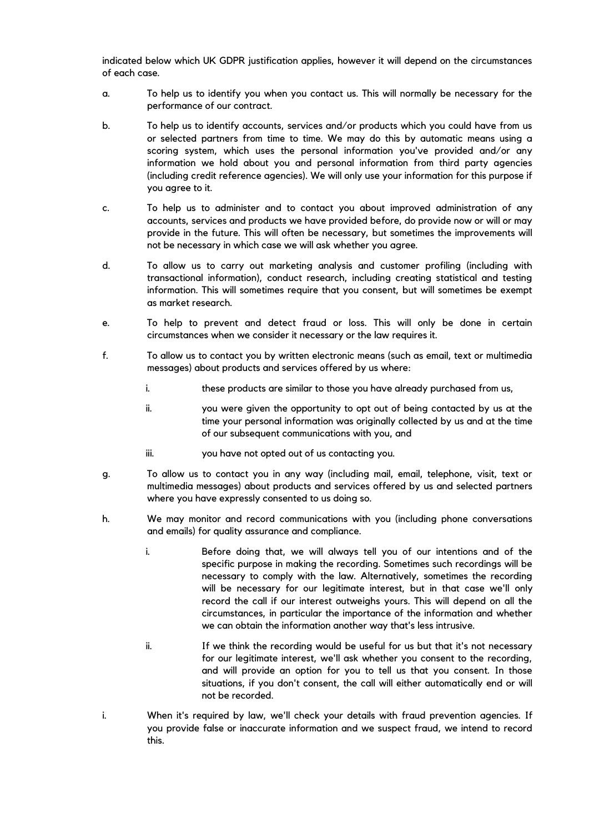indicated below which UK GDPR justification applies, however it will depend on the circumstances of each case.

- a. To help us to identify you when you contact us. This will normally be necessary for the performance of our contract.
- b. To help us to identify accounts, services and/or products which you could have from us or selected partners from time to time. We may do this by automatic means using a scoring system, which uses the personal information you've provided and/or any information we hold about you and personal information from third party agencies (including credit reference agencies). We will only use your information for this purpose if you agree to it.
- c. To help us to administer and to contact you about improved administration of any accounts, services and products we have provided before, do provide now or will or may provide in the future. This will often be necessary, but sometimes the improvements will not be necessary in which case we will ask whether you agree.
- d. To allow us to carry out marketing analysis and customer profiling (including with transactional information), conduct research, including creating statistical and testing information. This will sometimes require that you consent, but will sometimes be exempt as market research.
- e. To help to prevent and detect fraud or loss. This will only be done in certain circumstances when we consider it necessary or the law requires it.
- f. To allow us to contact you by written electronic means (such as email, text or multimedia messages) about products and services offered by us where:
	- i. these products are similar to those you have already purchased from us,
	- ii. you were given the opportunity to opt out of being contacted by us at the time your personal information was originally collected by us and at the time of our subsequent communications with you, and
	- iii. you have not opted out of us contacting you.
- g. To allow us to contact you in any way (including mail, email, telephone, visit, text or multimedia messages) about products and services offered by us and selected partners where you have expressly consented to us doing so.
- h. We may monitor and record communications with you (including phone conversations and emails) for quality assurance and compliance.
	- i. Before doing that, we will always tell you of our intentions and of the specific purpose in making the recording. Sometimes such recordings will be necessary to comply with the law. Alternatively, sometimes the recording will be necessary for our legitimate interest, but in that case we'll only record the call if our interest outweighs yours. This will depend on all the circumstances, in particular the importance of the information and whether we can obtain the information another way that's less intrusive.
	- ii. If we think the recording would be useful for us but that it's not necessary for our legitimate interest, we'll ask whether you consent to the recording, and will provide an option for you to tell us that you consent. In those situations, if you don't consent, the call will either automatically end or will not be recorded.
- i. When it's required by law, we'll check your details with fraud prevention agencies. If you provide false or inaccurate information and we suspect fraud, we intend to record this.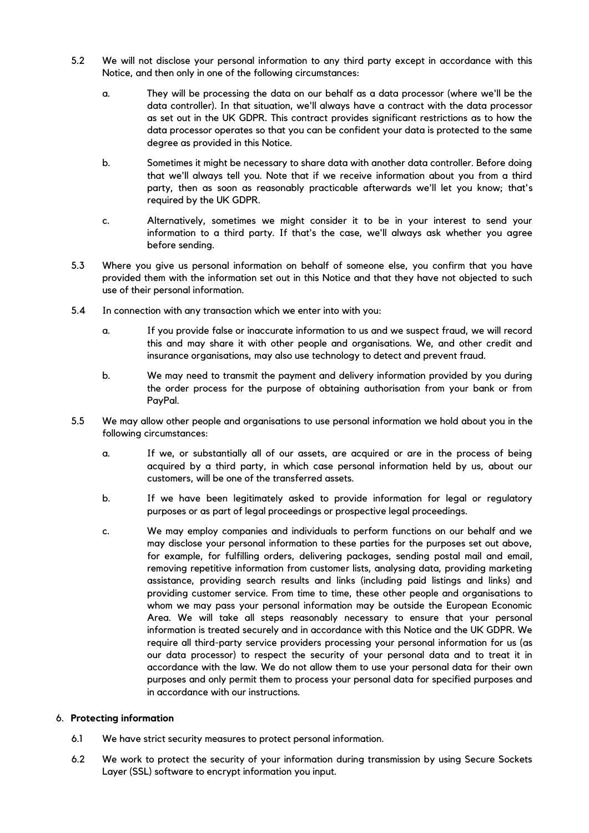- 5.2 We will not disclose your personal information to any third party except in accordance with this Notice, and then only in one of the following circumstances:
	- a. They will be processing the data on our behalf as a data processor (where we'll be the data controller). In that situation, we'll always have a contract with the data processor as set out in the UK GDPR. This contract provides significant restrictions as to how the data processor operates so that you can be confident your data is protected to the same degree as provided in this Notice.
	- b. Sometimes it might be necessary to share data with another data controller. Before doing that we'll always tell you. Note that if we receive information about you from a third party, then as soon as reasonably practicable afterwards we'll let you know; that's required by the UK GDPR.
	- c. Alternatively, sometimes we might consider it to be in your interest to send your information to a third party. If that's the case, we'll always ask whether you agree before sending.
- 5.3 Where you give us personal information on behalf of someone else, you confirm that you have provided them with the information set out in this Notice and that they have not objected to such use of their personal information.
- 5.4 In connection with any transaction which we enter into with you:
	- a. If you provide false or inaccurate information to us and we suspect fraud, we will record this and may share it with other people and organisations. We, and other credit and insurance organisations, may also use technology to detect and prevent fraud.
	- b. We may need to transmit the payment and delivery information provided by you during the order process for the purpose of obtaining authorisation from your bank or from PayPal.
- 5.5 We may allow other people and organisations to use personal information we hold about you in the following circumstances:
	- a. If we, or substantially all of our assets, are acquired or are in the process of being acquired by a third party, in which case personal information held by us, about our customers, will be one of the transferred assets.
	- b. If we have been legitimately asked to provide information for legal or regulatory purposes or as part of legal proceedings or prospective legal proceedings.
	- c. We may employ companies and individuals to perform functions on our behalf and we may disclose your personal information to these parties for the purposes set out above, for example, for fulfilling orders, delivering packages, sending postal mail and email, removing repetitive information from customer lists, analysing data, providing marketing assistance, providing search results and links (including paid listings and links) and providing customer service. From time to time, these other people and organisations to whom we may pass your personal information may be outside the European Economic Area. We will take all steps reasonably necessary to ensure that your personal information is treated securely and in accordance with this Notice and the UK GDPR. We require all third-party service providers processing your personal information for us (as our data processor) to respect the security of your personal data and to treat it in accordance with the law. We do not allow them to use your personal data for their own purposes and only permit them to process your personal data for specified purposes and in accordance with our instructions.

### 6. **Protecting information**

- 6.1 We have strict security measures to protect personal information.
- 6.2 We work to protect the security of your information during transmission by using Secure Sockets Layer (SSL) software to encrypt information you input.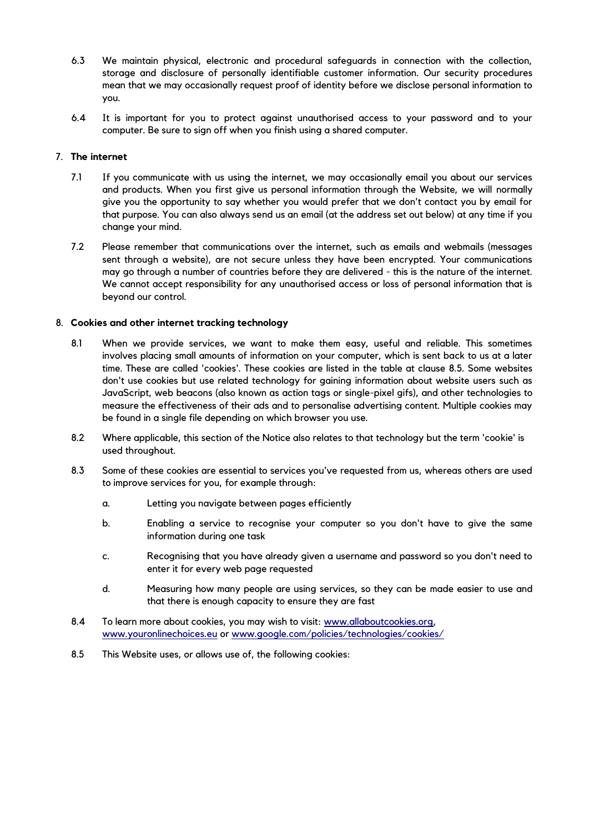- 6.3 We maintain physical, electronic and procedural safeguards in connection with the collection, storage and disclosure of personally identifiable customer information. Our security procedures mean that we may occasionally request proof of identity before we disclose personal information to you.
- 6.4 It is important for you to protect against unauthorised access to your password and to your computer. Be sure to sign off when you finish using a shared computer.

#### 7. **The internet**

- 7.1 If you communicate with us using the internet, we may occasionally email you about our services and products. When you first give us personal information through the Website, we will normally give you the opportunity to say whether you would prefer that we don't contact you by email for that purpose. You can also always send us an email (at the address set out below) at any time if you change your mind.
- 7.2 Please remember that communications over the internet, such as emails and webmails (messages sent through a website), are not secure unless they have been encrypted. Your communications may go through a number of countries before they are delivered - this is the nature of the internet. We cannot accept responsibility for any unauthorised access or loss of personal information that is beyond our control.

#### <span id="page-5-1"></span>8. **Cookies and other internet tracking technology**

- 8.1 When we provide services, we want to make them easy, useful and reliable. This sometimes involves placing small amounts of information on your computer, which is sent back to us at a later time. These are called 'cookies'. These cookies are listed in the table at clause [8.5.](#page-5-0) Some websites don't use cookies but use related technology for gaining information about website users such as JavaScript, web beacons (also known as action tags or single-pixel gifs), and other technologies to measure the effectiveness of their ads and to personalise advertising content. Multiple cookies may be found in a single file depending on which browser you use.
- 8.2 Where applicable, this section of the Notice also relates to that technology but the term 'cookie' is used throughout.
- 8.3 Some of these cookies are essential to services you've requested from us, whereas others are used to improve services for you, for example through:
	- a. Letting you navigate between pages efficiently
	- b. Enabling a service to recognise your computer so you don't have to give the same information during one task
	- c. Recognising that you have already given a username and password so you don't need to enter it for every web page requested
	- d. Measuring how many people are using services, so they can be made easier to use and that there is enough capacity to ensure they are fast
- 8.4 To learn more about cookies, you may wish to visit: [www.allaboutcookies.org,](http://www.allaboutcookies.org/) [www.youronlinechoices.eu](http://www.youronlinechoices.eu/) or [www.google.com/policies/technologies/cookies/](http://www.google.com/policies/technologies/cookies/)
- <span id="page-5-0"></span>8.5 This Website uses, or allows use of, the following cookies: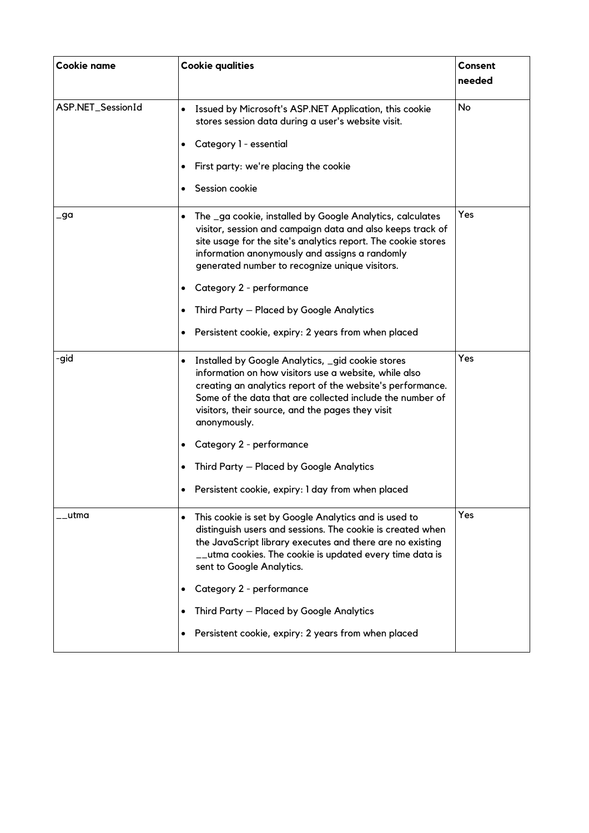| Cookie name       | <b>Cookie qualities</b>                                                                                                                                                                                                                                                                                                                                                                                                                                                    | Consent<br>needed |
|-------------------|----------------------------------------------------------------------------------------------------------------------------------------------------------------------------------------------------------------------------------------------------------------------------------------------------------------------------------------------------------------------------------------------------------------------------------------------------------------------------|-------------------|
| ASP.NET_SessionId | Issued by Microsoft's ASP.NET Application, this cookie<br>$\bullet$<br>stores session data during a user's website visit.<br>Category 1 - essential<br>٠<br>First party: we're placing the cookie<br>$\bullet$<br>Session cookie<br>$\bullet$                                                                                                                                                                                                                              | No                |
| _ga               | The _ga cookie, installed by Google Analytics, calculates<br>$\bullet$<br>visitor, session and campaign data and also keeps track of<br>site usage for the site's analytics report. The cookie stores<br>information anonymously and assigns a randomly<br>generated number to recognize unique visitors.<br>Category 2 - performance<br>٠<br>Third Party - Placed by Google Analytics<br>$\bullet$<br>Persistent cookie, expiry: 2 years from when placed<br>٠            | Yes               |
| -gid              | Installed by Google Analytics, _gid cookie stores<br>$\bullet$<br>information on how visitors use a website, while also<br>creating an analytics report of the website's performance.<br>Some of the data that are collected include the number of<br>visitors, their source, and the pages they visit<br>anonymously.<br>Category 2 - performance<br>٠<br>Third Party - Placed by Google Analytics<br>$\bullet$<br>Persistent cookie, expiry: I day from when placed<br>٠ | Yes               |
| _utma             | This cookie is set by Google Analytics and is used to<br>$\bullet$<br>distinguish users and sessions. The cookie is created when<br>the JavaScript library executes and there are no existing<br>__utma cookies. The cookie is updated every time data is<br>sent to Google Analytics.<br>Category 2 - performance<br>٠<br>Third Party - Placed by Google Analytics<br>$\bullet$<br>Persistent cookie, expiry: 2 years from when placed<br>$\bullet$                       | Yes               |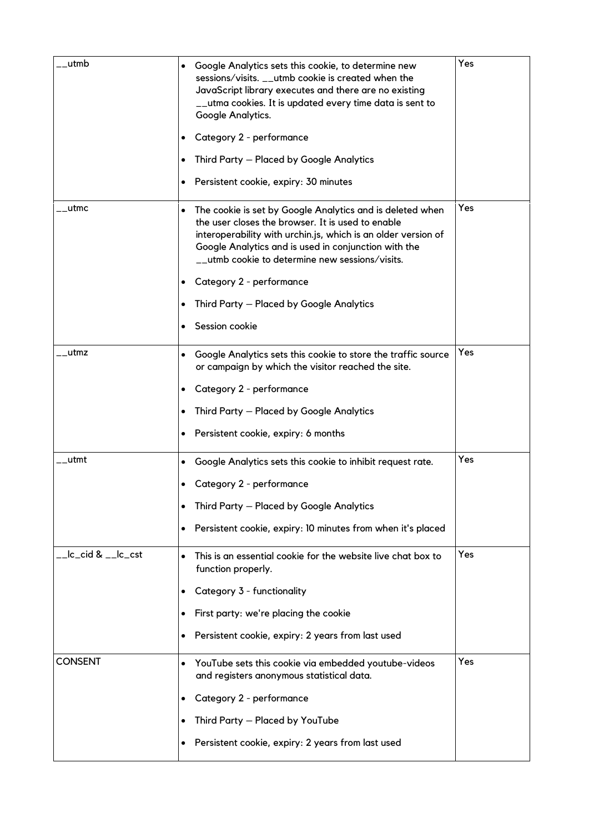| utmb                | Google Analytics sets this cookie, to determine new<br>$\bullet$<br>sessions/visits. __utmb cookie is created when the<br>JavaScript library executes and there are no existing<br>__utma cookies. It is updated every time data is sent to<br>Google Analytics.<br>Category 2 - performance<br>٠<br>Third Party - Placed by Google Analytics<br>Persistent cookie, expiry: 30 minutes<br>$\bullet$         | Yes |
|---------------------|-------------------------------------------------------------------------------------------------------------------------------------------------------------------------------------------------------------------------------------------------------------------------------------------------------------------------------------------------------------------------------------------------------------|-----|
| __utmc              | The cookie is set by Google Analytics and is deleted when<br>٠<br>the user closes the browser. It is used to enable<br>interoperability with urchin.js, which is an older version of<br>Google Analytics and is used in conjunction with the<br>__utmb cookie to determine new sessions/visits.<br>Category 2 - performance<br>٠<br>Third Party - Placed by Google Analytics<br>$\bullet$<br>Session cookie | Yes |
| __utmz              | Google Analytics sets this cookie to store the traffic source<br>$\bullet$<br>or campaign by which the visitor reached the site.<br>Category 2 - performance<br>$\bullet$<br>Third Party - Placed by Google Analytics<br>$\bullet$<br>Persistent cookie, expiry: 6 months<br>٠                                                                                                                              | Yes |
| __utmt              | Google Analytics sets this cookie to inhibit request rate.<br>$\bullet$<br>Category 2 - performance<br>٠<br>Third Party - Placed by Google Analytics<br>$\bullet$<br>Persistent cookie, expiry: 10 minutes from when it's placed<br>٠                                                                                                                                                                       | Yes |
| __lc_cid & __lc_cst | This is an essential cookie for the website live chat box to<br>$\bullet$<br>function properly.<br>Category 3 - functionality<br>$\bullet$<br>First party: we're placing the cookie<br>$\bullet$<br>Persistent cookie, expiry: 2 years from last used<br>٠                                                                                                                                                  | Yes |
| <b>CONSENT</b>      | YouTube sets this cookie via embedded youtube-videos<br>$\bullet$<br>and registers anonymous statistical data.<br>Category 2 - performance<br>$\bullet$<br>Third Party - Placed by YouTube<br>$\bullet$<br>Persistent cookie, expiry: 2 years from last used<br>٠                                                                                                                                           | Yes |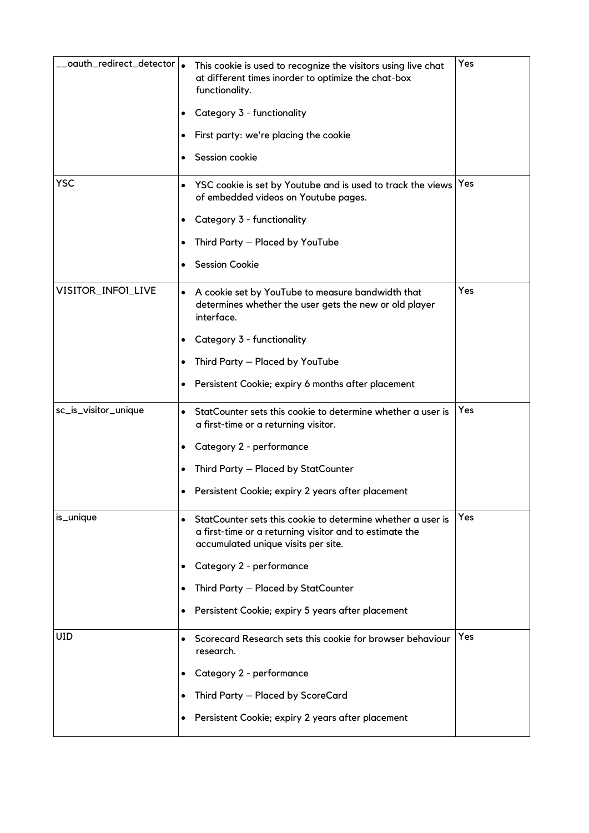| __oauth_redirect_detector   <sub>●</sub><br><b>YSC</b> | This cookie is used to recognize the visitors using live chat<br>at different times inorder to optimize the chat-box<br>functionality.<br>Category 3 - functionality<br>٠<br>First party: we're placing the cookie<br>$\bullet$<br>Session cookie<br>$\bullet$<br>YSC cookie is set by Youtube and is used to track the views<br>$\bullet$<br>of embedded videos on Youtube pages. | Yes<br>Yes |
|--------------------------------------------------------|------------------------------------------------------------------------------------------------------------------------------------------------------------------------------------------------------------------------------------------------------------------------------------------------------------------------------------------------------------------------------------|------------|
|                                                        | Category 3 - functionality<br>٠<br>Third Party - Placed by YouTube<br>٠<br><b>Session Cookie</b><br>$\bullet$                                                                                                                                                                                                                                                                      |            |
| VISITOR_INFOI_LIVE                                     | A cookie set by YouTube to measure bandwidth that<br>$\bullet$<br>determines whether the user gets the new or old player<br>interface.<br>Category 3 - functionality<br>٠<br>Third Party - Placed by YouTube<br>٠<br>Persistent Cookie; expiry 6 months after placement<br>٠                                                                                                       | Yes        |
| sc_is_visitor_unique                                   | StatCounter sets this cookie to determine whether a user is<br>$\bullet$<br>a first-time or a returning visitor.<br>Category 2 - performance<br>٠<br>Third Party - Placed by StatCounter<br>٠<br>Persistent Cookie; expiry 2 years after placement<br>$\bullet$                                                                                                                    | Yes        |
| is_unique                                              | StatCounter sets this cookie to determine whether a user is<br>$\bullet$<br>a first-time or a returning visitor and to estimate the<br>accumulated unique visits per site.<br>Category 2 - performance<br>$\bullet$<br>Third Party - Placed by StatCounter<br>$\bullet$<br>Persistent Cookie; expiry 5 years after placement<br>$\bullet$                                          | Yes        |
| UID                                                    | Scorecard Research sets this cookie for browser behaviour<br>$\bullet$<br>research.<br>Category 2 - performance<br>$\bullet$<br>Third Party - Placed by ScoreCard<br>$\bullet$<br>Persistent Cookie; expiry 2 years after placement<br>٠                                                                                                                                           | Yes        |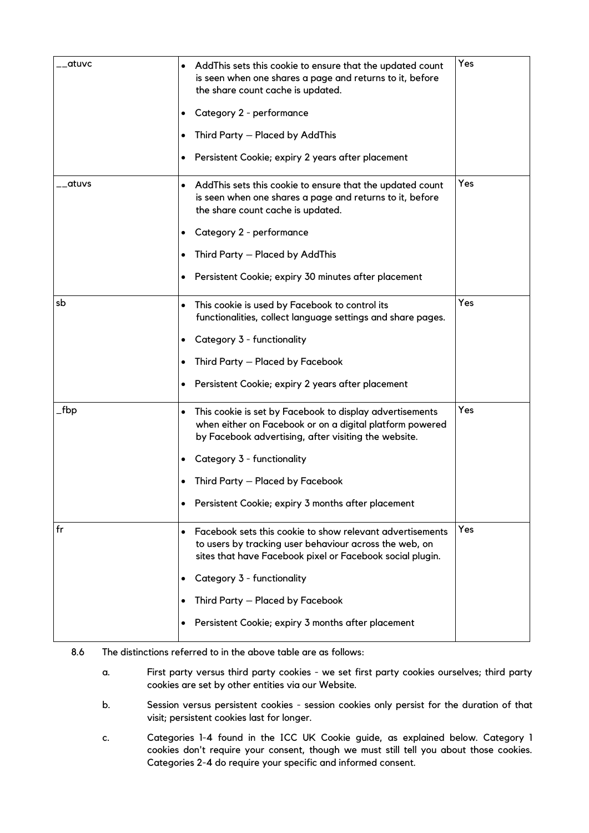| _atuvc   | AddThis sets this cookie to ensure that the updated count<br>$\bullet$<br>is seen when one shares a page and returns to it, before<br>the share count cache is updated.<br>Category 2 - performance<br>$\bullet$<br>Third Party - Placed by AddThis<br>Persistent Cookie; expiry 2 years after placement<br>$\bullet$                                | Yes |
|----------|------------------------------------------------------------------------------------------------------------------------------------------------------------------------------------------------------------------------------------------------------------------------------------------------------------------------------------------------------|-----|
| __atuvs  | AddThis sets this cookie to ensure that the updated count<br>$\bullet$<br>is seen when one shares a page and returns to it, before<br>the share count cache is updated.<br>Category 2 - performance<br>$\bullet$<br>Third Party - Placed by AddThis<br>$\bullet$<br>Persistent Cookie; expiry 30 minutes after placement<br>$\bullet$                | Yes |
| sb       | This cookie is used by Facebook to control its<br>$\bullet$<br>functionalities, collect language settings and share pages.<br>Category 3 - functionality<br>$\bullet$<br>Third Party - Placed by Facebook<br>$\bullet$<br>Persistent Cookie; expiry 2 years after placement                                                                          | Yes |
| $\_$ fbp | This cookie is set by Facebook to display advertisements<br>$\bullet$<br>when either on Facebook or on a digital platform powered<br>by Facebook advertising, after visiting the website.<br>Category 3 - functionality<br>$\bullet$<br>Third Party - Placed by Facebook<br>$\bullet$<br>Persistent Cookie; expiry 3 months after placement          | Yes |
| fr       | Facebook sets this cookie to show relevant advertisements<br>$\bullet$<br>to users by tracking user behaviour across the web, on<br>sites that have Facebook pixel or Facebook social plugin.<br>Category 3 - functionality<br>٠<br>Third Party - Placed by Facebook<br>$\bullet$<br>Persistent Cookie; expiry 3 months after placement<br>$\bullet$ | Yes |

- 8.6 The distinctions referred to in the above table are as follows:
	- a. First party versus third party cookies we set first party cookies ourselves; third party cookies are set by other entities via our Website.
	- b. Session versus persistent cookies session cookies only persist for the duration of that visit; persistent cookies last for longer.
	- c. Categories 1-4 found in the ICC UK Cookie guide, as explained below. Category 1 cookies don't require your consent, though we must still tell you about those cookies. Categories 2-4 do require your specific and informed consent.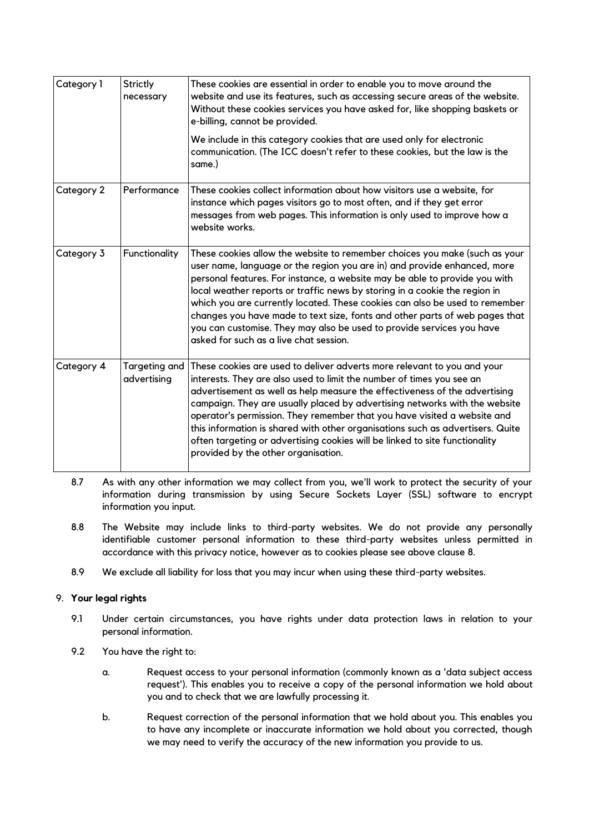| Category 1 | <b>Strictly</b><br>necessary | These cookies are essential in order to enable you to move around the<br>website and use its features, such as accessing secure areas of the website.<br>Without these cookies services you have asked for, like shopping baskets or<br>e-billing, cannot be provided.                                                                                                                                                                                                                                                                                                                              |
|------------|------------------------------|-----------------------------------------------------------------------------------------------------------------------------------------------------------------------------------------------------------------------------------------------------------------------------------------------------------------------------------------------------------------------------------------------------------------------------------------------------------------------------------------------------------------------------------------------------------------------------------------------------|
|            |                              | We include in this category cookies that are used only for electronic<br>communication. (The ICC doesn't refer to these cookies, but the law is the<br>same.)                                                                                                                                                                                                                                                                                                                                                                                                                                       |
| Category 2 | Performance                  | These cookies collect information about how visitors use a website, for<br>instance which pages visitors go to most often, and if they get error<br>messages from web pages. This information is only used to improve how a<br>website works.                                                                                                                                                                                                                                                                                                                                                       |
| Category 3 | Functionality                | These cookies allow the website to remember choices you make (such as your<br>user name, language or the region you are in) and provide enhanced, more<br>personal features. For instance, a website may be able to provide you with<br>local weather reports or traffic news by storing in a cookie the region in<br>which you are currently located. These cookies can also be used to remember<br>changes you have made to text size, fonts and other parts of web pages that<br>you can customise. They may also be used to provide services you have<br>asked for such as a live chat session. |
| Category 4 | Targeting and<br>advertising | These cookies are used to deliver adverts more relevant to you and your<br>interests. They are also used to limit the number of times you see an<br>advertisement as well as help measure the effectiveness of the advertising<br>campaign. They are usually placed by advertising networks with the website<br>operator's permission. They remember that you have visited a website and<br>this information is shared with other organisations such as advertisers. Quite<br>often targeting or advertising cookies will be linked to site functionality<br>provided by the other organisation.    |

- 8.7 As with any other information we may collect from you, we'll work to protect the security of your information during transmission by using Secure Sockets Layer (SSL) software to encrypt information you input.
- 8.8 The Website may include links to third-party websites. We do not provide any personally identifiable customer personal information to these third-party websites unless permitted in accordance with this privacy notice, however as to cookies please see above clause [8.](#page-5-1)
- 8.9 We exclude all liability for loss that you may incur when using these third-party websites.

## 9. **Your legal rights**

- 9.1 Under certain circumstances, you have rights under data protection laws in relation to your personal information.
- 9.2 You have the right to:
	- a. Request access to your personal information (commonly known as a 'data subject access request'). This enables you to receive a copy of the personal information we hold about you and to check that we are lawfully processing it.
	- b. Request correction of the personal information that we hold about you. This enables you to have any incomplete or inaccurate information we hold about you corrected, though we may need to verify the accuracy of the new information you provide to us.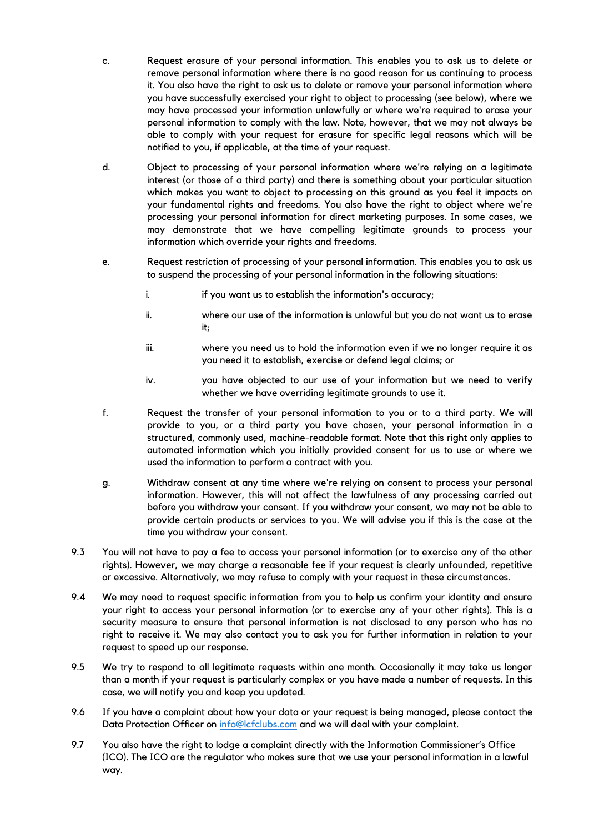- c. Request erasure of your personal information. This enables you to ask us to delete or remove personal information where there is no good reason for us continuing to process it. You also have the right to ask us to delete or remove your personal information where you have successfully exercised your right to object to processing (see below), where we may have processed your information unlawfully or where we're required to erase your personal information to comply with the law. Note, however, that we may not always be able to comply with your request for erasure for specific legal reasons which will be notified to you, if applicable, at the time of your request.
- d. Object to processing of your personal information where we're relying on a legitimate interest (or those of a third party) and there is something about your particular situation which makes you want to object to processing on this ground as you feel it impacts on your fundamental rights and freedoms. You also have the right to object where we're processing your personal information for direct marketing purposes. In some cases, we may demonstrate that we have compelling legitimate grounds to process your information which override your rights and freedoms.
- e. Request restriction of processing of your personal information. This enables you to ask us to suspend the processing of your personal information in the following situations:
	- i. if you want us to establish the information's accuracy;
	- ii. where our use of the information is unlawful but you do not want us to erase it;
	- iii. where you need us to hold the information even if we no longer require it as you need it to establish, exercise or defend legal claims; or
	- iv. you have objected to our use of your information but we need to verify whether we have overriding legitimate grounds to use it.
- f. Request the transfer of your personal information to you or to a third party. We will provide to you, or a third party you have chosen, your personal information in a structured, commonly used, machine-readable format. Note that this right only applies to automated information which you initially provided consent for us to use or where we used the information to perform a contract with you.
- g. Withdraw consent at any time where we're relying on consent to process your personal information. However, this will not affect the lawfulness of any processing carried out before you withdraw your consent. If you withdraw your consent, we may not be able to provide certain products or services to you. We will advise you if this is the case at the time you withdraw your consent.
- 9.3 You will not have to pay a fee to access your personal information (or to exercise any of the other rights). However, we may charge a reasonable fee if your request is clearly unfounded, repetitive or excessive. Alternatively, we may refuse to comply with your request in these circumstances.
- 9.4 We may need to request specific information from you to help us confirm your identity and ensure your right to access your personal information (or to exercise any of your other rights). This is a security measure to ensure that personal information is not disclosed to any person who has no right to receive it. We may also contact you to ask you for further information in relation to your request to speed up our response.
- 9.5 We try to respond to all legitimate requests within one month. Occasionally it may take us longer than a month if your request is particularly complex or you have made a number of requests. In this case, we will notify you and keep you updated.
- 9.6 If you have a complaint about how your data or your request is being managed, please contact the Data Protection Officer on [info@lcfclubs.com](mailto:info@lcfclubs.com) and we will deal with your complaint.
- 9.7 You also have the right to lodge a complaint directly with the Information Commissioner's Office (ICO). The ICO are the regulator who makes sure that we use your personal information in a lawful way.